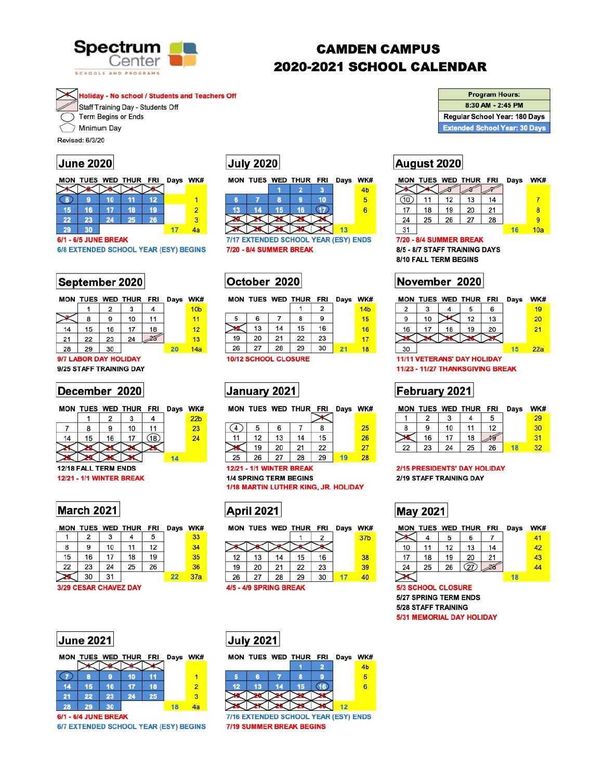

# **CAMDEN CAMPUS** 2020-2021 SCHOOL CALENDAR

**Holiday - No school / Students and Teachers Off** 

Staff Training Day - Students Off

Term Begins or Ends

Minimum Day

Revised: 6/3/20

## **June 2020**

|    |    |    | MON TUES WED THUR FRI Days WK# |    |   |
|----|----|----|--------------------------------|----|---|
|    |    |    |                                |    |   |
|    |    | 10 |                                | 12 |   |
| 15 | 16 |    | 18                             | 19 | 2 |
| 22 | 23 | 24 | 25                             | 26 | 3 |
| 29 |    |    |                                |    |   |

### **6/1 - 6/5 JUNE BREAK**

6/8 EXTENDED SCHOOL YEAR (ESY) BEGINS

| July 2020 |  |  |
|-----------|--|--|
|           |  |  |



7/17 EXTENDED SCHOOL YEAR (ESY) ENDS 7/20 - 8/4 SUMMER BREAK

## September 2020

|    |    |    |    | Days                  | <b>WK</b>       |
|----|----|----|----|-----------------------|-----------------|
|    | 2  |    |    |                       | 10 <sub>k</sub> |
| 8  | 9  | 10 | 11 |                       | 11              |
| 15 | 16 | 17 | 18 |                       | 12              |
| 22 | 23 | 24 |    |                       | 13              |
| 29 | 30 |    |    | 20                    | 14 <sub>5</sub> |
|    |    |    |    | MON TUES WED THUR FRI |                 |

9/7 LABOR DAY HOLIDAY 9/25 STAFF TRAINING DAY

## December 2020

|    |    |    | MON TUES WED THUR FRI Days WK: |      |     |
|----|----|----|--------------------------------|------|-----|
|    |    |    |                                |      | 22b |
|    |    |    | 10                             |      | 23  |
| 14 | 15 | 16 | 17                             | (18) |     |

# October 2020

|    |                             |    | MON TUES WED THUR FRI |    | Days WK |                 |
|----|-----------------------------|----|-----------------------|----|---------|-----------------|
|    |                             |    |                       | 2  |         | 14 <sub>b</sub> |
| 5  | 6                           |    | 8                     | 9  |         | 15              |
|    | 13                          | 14 | 15                    | 16 |         | 16              |
| 19 | 20                          | 21 | 22                    | 23 |         | 17              |
| 26 | 27                          | 28 | 29                    | 30 | 21      | 18              |
|    | <b>10/12 SCHOOL CLOSURE</b> |    |                       |    |         |                 |

# January 2021

|    |    |    | WK#                        |
|----|----|----|----------------------------|
|    |    |    | 25                         |
| 13 | 14 | 15 | 26                         |
|    |    |    | MON TUES WED THUR FRI Days |

| <b>Program Hours:</b>                |
|--------------------------------------|
| 8:30 AM - 2:45 PM                    |
| Regular School Year: 180 Days        |
| <b>Extended School Year: 30 Days</b> |

# August 2020

|    |    |    | MON TUES WED THUR FRI |    | Days | WK# |
|----|----|----|-----------------------|----|------|-----|
|    |    |    |                       |    |      |     |
|    | 11 | 12 | 13                    | 14 |      |     |
| 17 | 18 | 19 | 20                    | 21 |      | 8   |
| 24 | 25 | 26 | 27                    | 28 |      | 9   |
| 31 |    |    |                       |    |      | 10a |

### 7/20 - 8/4 SUMMER BREAK

8/5 - 8/7 STAFF TRAINING DAYS 8/10 FALL TERM BEGINS

## November 2020

|    |    |    | MON TUES WED THUR FRI              |    | Days | WK# |
|----|----|----|------------------------------------|----|------|-----|
| 2  |    |    | 5                                  | 6  |      | 19  |
| 9  | 10 |    | 12                                 | 13 |      | 20  |
| 16 | 17 | 18 | 19                                 | 20 |      | 21  |
|    |    |    |                                    |    |      |     |
| 30 |    |    |                                    |    |      | 22a |
|    |    |    | <b>11/11 VETERANS' DAY HOLIDAY</b> |    |      |     |

11/23 - 11/27 THANKSGIVING BREAK

## February 2021

|    |    | MON TUES WED THUR FRI Days |    | WK# |
|----|----|----------------------------|----|-----|
|    |    |                            |    | 29. |
|    | 10 |                            | 12 | 30  |
| 16 | 17 | 18                         |    |     |



## **March 2021**

|    |    |    | MON TUES WED THUR FRI |    | Days | WK# |
|----|----|----|-----------------------|----|------|-----|
|    | 2  | 3  |                       | 5  |      | 33  |
| 8  | 9  | 10 | 11                    | 12 |      | 34  |
| 15 | 16 | 17 | 18                    | 19 |      | 35  |
| 22 | 23 | 24 | 25                    | 26 |      | 36  |
|    | 30 | 31 |                       |    | 22   | 37a |

### 3/29 CESAR CHAVEZ DAY



### **12/21 - 1/1 WINTER BREAK**

**1/4 SPRING TERM BEGINS** 

1/18 MARTIN LUTHER KING, JR. HOLIDAY

## **April 2021**

|    |    |    |    | Days                  | WK#             |
|----|----|----|----|-----------------------|-----------------|
|    |    |    |    |                       | 37 <sub>b</sub> |
|    |    |    |    |                       |                 |
| 13 | 14 | 15 | 16 |                       | 38              |
| 20 | 21 | 22 | 23 |                       | 39              |
| 27 | 28 | 29 | 30 | 17                    | 40              |
|    |    |    |    | MON TUES WED THUR FRI |                 |

4/5 - 4/9 SPRING BREAK

| 22 23 24 25 26 |  |  |  |
|----------------|--|--|--|
|                |  |  |  |

### 2/15 PRESIDENTS' DAY HOLIDAY 2/19 STAFF TRAINING DAY

# **May 2021**

| MON |    |    | TUES WED THUR FRI |    | Days | WK# |
|-----|----|----|-------------------|----|------|-----|
|     |    | 5  | 6                 |    |      | 41  |
| 10  | 11 | 12 | 13                | 14 |      | 42  |
| 17  | 18 | 19 | 20                | 21 |      | 43  |
| 24  | 25 | 26 | 27                |    |      | 44  |
|     |    |    |                   |    | 18   |     |

**5/3 SCHOOL CLOSURE** 5/27 SPRING TERM ENDS **5/28 STAFF TRAINING** 5/31 MEMORIAL DAY HOLIDAY



## **July 2021**

|                                      |    |    | MON TUES WED THUR FRI |    | Days WK# |
|--------------------------------------|----|----|-----------------------|----|----------|
|                                      |    |    |                       |    | 4b       |
|                                      | R  |    | в                     |    | 5        |
| 12                                   | 13 | 14 | 15                    |    | 6        |
|                                      |    |    |                       |    |          |
|                                      |    |    |                       | 12 |          |
| 7/16 EXTENDED SCHOOL YEAR (ESY) ENDS |    |    |                       |    |          |

**7/19 SUMMER BREAK BEGINS**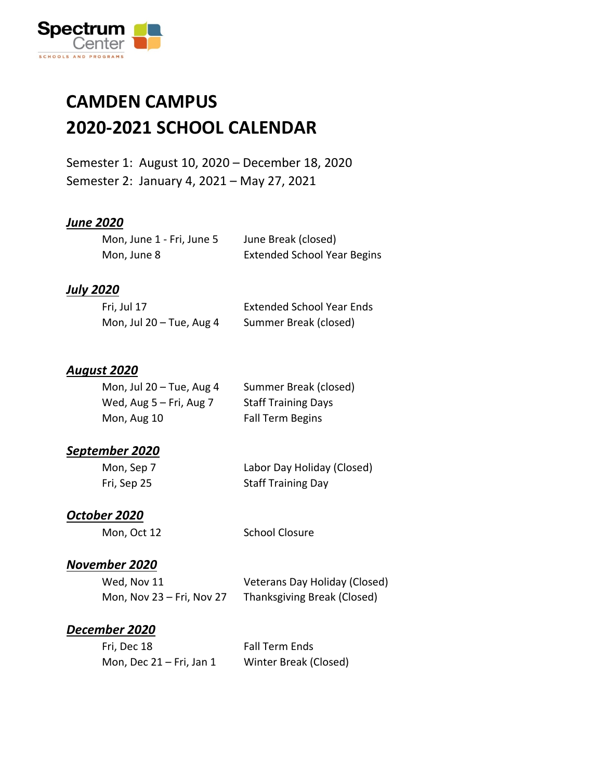

### **CAMDEN CAMPUS 2020-2021 SCHOOL CALENDAR**

Semester 1: August 10, 2020 – December 18, 2020 Semester 2: January 4, 2021 – May 27, 2021

### *June 2020*

| Mon, June 1 - Fri, June 5 | June Break (closed)                |
|---------------------------|------------------------------------|
| Mon, June 8               | <b>Extended School Year Begins</b> |

#### *July 2020*

| Fri, Jul 17                | <b>Extended School Year Ends</b> |
|----------------------------|----------------------------------|
| Mon, Jul $20 -$ Tue, Aug 4 | Summer Break (closed)            |

### *August 2020*

| Mon, Jul $20 -$ Tue, Aug 4   | Summer Break (closed)      |
|------------------------------|----------------------------|
| Wed, $Aug 5 - Fri$ , $Aug 7$ | <b>Staff Training Days</b> |
| Mon, Aug 10                  | Fall Term Begins           |

### *September 2020*

| Mon, Sep 7  | Labor Day Holiday (Closed) |
|-------------|----------------------------|
| Fri, Sep 25 | <b>Staff Training Day</b>  |

### *October 2020*

Mon, Oct 12 School Closure

### *November 2020*

| Wed, Nov 11               | Veterans Day Holiday (Closed) |
|---------------------------|-------------------------------|
| Mon, Nov 23 – Fri, Nov 27 | Thanksgiving Break (Closed)   |

### *December 2020*

| Fri, Dec 18                | <b>Fall Term Ends</b> |
|----------------------------|-----------------------|
| Mon, Dec $21$ – Fri, Jan 1 | Winter Break (Closed) |